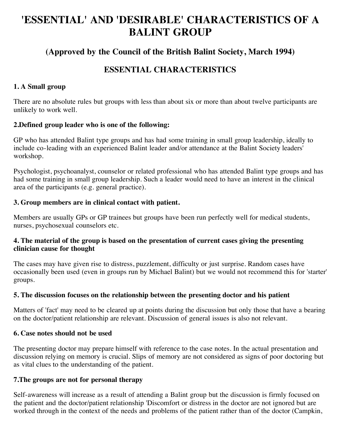# **'ESSENTIAL' AND 'DESIRABLE' CHARACTERISTICS OF A BALINT GROUP**

# **(Approved by the Council of the British Balint Society, March 1994)**

# **ESSENTIAL CHARACTERISTICS**

# **1. A Small group**

There are no absolute rules but groups with less than about six or more than about twelve participants are unlikely to work well.

# **2.Defined group leader who is one of the following:**

GP who has attended Balint type groups and has had some training in small group leadership, ideally to include co-leading with an experienced Balint leader and/or attendance at the Balint Society leaders' workshop.

Psychologist, psychoanalyst, counselor or related professional who has attended Balint type groups and has had some training in small group leadership. Such a leader would need to have an interest in the clinical area of the participants (e.g. general practice).

### **3. Group members are in clinical contact with patient.**

Members are usually GPs or GP trainees but groups have been run perfectly well for medical students, nurses, psychosexual counselors etc.

### **4. The material of the group is based on the presentation of current cases giving the presenting clinician cause for thought**

The cases may have given rise to distress, puzzlement, difficulty or just surprise. Random cases have occasionally been used (even in groups run by Michael Balint) but we would not recommend this for 'starter' groups.

### **5. The discussion focuses on the relationship between the presenting doctor and his patient**

Matters of 'fact' may need to be cleared up at points during the discussion but only those that have a bearing on the doctor/patient relationship are relevant. Discussion of general issues is also not relevant.

### **6. Case notes should not be used**

The presenting doctor may prepare himself with reference to the case notes. In the actual presentation and discussion relying on memory is crucial. Slips of memory are not considered as signs of poor doctoring but as vital clues to the understanding of the patient.

### **7.The groups are not for personal therapy**

Self-awareness will increase as a result of attending a Balint group but the discussion is firmly focused on the patient and the doctor/patient relationship 'Discomfort or distress in the doctor are not ignored but are worked through in the context of the needs and problems of the patient rather than of the doctor (Campkin,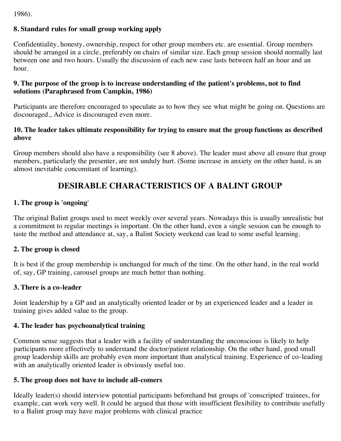1986).

# **8. Standard rules for small group working apply**

Confidentiality, honesty, ownership, respect for other group members etc. are essential. Group members should be arranged in a circle, preferably on chairs of similar size. Each group session should normally last between one and two hours. Usually the discussion of each new case lasts between half an hour and an hour.

### **9. The purpose of the group is to increase understanding of the patient's problems, not to find solutions (Paraphrased from Campkin, 1986)**

Participants are therefore encouraged to speculate as to how they see what might be going on. Questions are discouraged., Advice is discouraged even more.

## **10. The leader takes ultimate responsibility for trying to ensure mat the group functions as described above**

Group members should also have a responsibility (see 8 above). The leader must above all ensure that group members, particularly the presenter, are not unduly hurt. (Some increase in anxiety on the other hand, is an almost inevitable concomitant of learning).

# **DESIRABLE CHARACTERISTICS OF A BALINT GROUP**

# **1. The group is 'ongoing**'

The original Balint groups used to meet weekly over several years. Nowadays this is usually unrealistic but a commitment to regular meetings is important. On the other hand, even a single session can be enough to taste the method and attendance at, say, a Balint Society weekend can lead to some useful learning.

# **2. The group is closed**

It is best if the group membership is unchanged for much of the time. On the other hand, in the real world of, say, GP training, carousel groups are much better than nothing.

### **3. There is a co-leader**

Joint leadership by a GP and an analytically oriented leader or by an experienced leader and a leader in training gives added value to the group.

### **4. The leader has psychoanalytical training**

Common sense suggests that a leader with a facility of understanding the unconscious is likely to help participants more effectively to understand the doctor/patient relationship. On the other hand, good small group leadership skills are probably even more important than analytical training. Experience of co-leading with an analytically oriented leader is obviously useful too.

### **5. The group does not have to include all-comers**

Ideally leader(s) should interview potential participants beforehand but groups of 'conscripted' trainees, for example, can work very well. It could be argued that those with insufficient flexibility to contribute usefully to a Balint group may have major problems with clinical practice